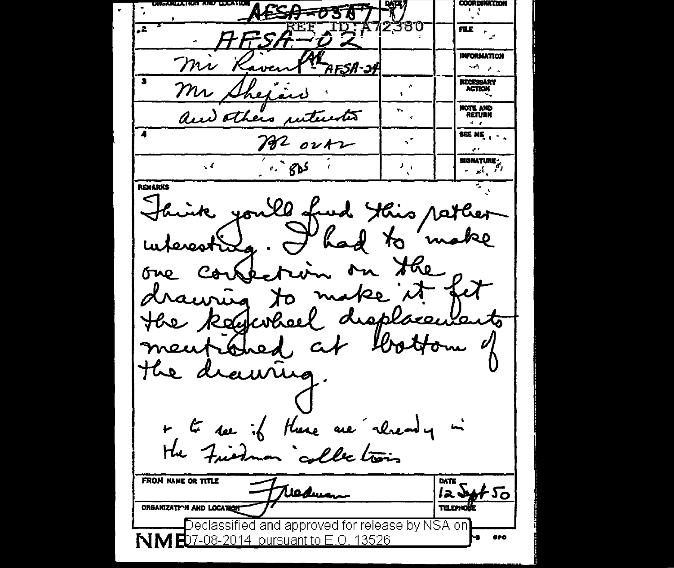COORDINATION ESA=03T  $HFSA - 02$ ru. Mi Raven RAFSA-39 **INFORMATION** ser and **NECESSARY** ٨ Mr Shexard **ACTION** NOTE AND and others interested **RETURN**  $\sim$ Me out **SEE ME**  $\frac{1}{2}$   $\frac{1}{2}$   $\frac{1}{2}$   $\frac{1}{2}$   $\frac{1}{2}$   $\frac{1}{2}$   $\frac{1}{2}$   $\frac{1}{2}$   $\frac{1}{2}$   $\frac{1}{2}$   $\frac{1}{2}$   $\frac{1}{2}$   $\frac{1}{2}$   $\frac{1}{2}$   $\frac{1}{2}$ **SIGNATURE -** $\mathcal{F}_{\mathcal{A}}$ نا کے م REMARKS Shink you'll fund this rather interesting. I had to make one consection on the the keywheel displacements meutibled at bottom of the drawing. + to see if there are cheady in the Friedman collections **FROM NAME OR TITLE** DATE Freducan  $I22450$ **TELEPHONE** ORGANIZATION AND LOCATION Declassified and approved for release by NSA on NME07-08-2014 pursuant to E.O. 13526 чa. aro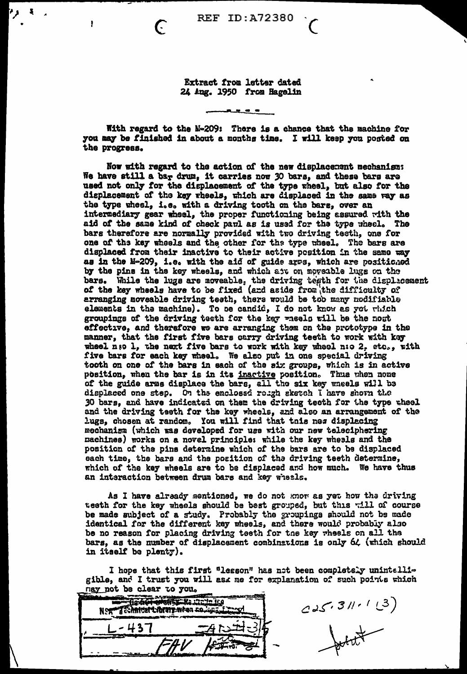الجارم

ł

Extract from letter dated 24 Aug. 1950 from Hagelin

. <u>.</u> . .

With regard to the M-209: There is a chance that the machine for you may be finished in about a months time. I will keep you posted on the progress.

Now with regard to the action of the new displacement mechanism: We have still a bar drum, it carries now 30 bars, and these bars are used not only for the displacement of the type wheel, but also for the displacement of the key wheels, which are displaced in the same way as the type wheel, i.e. with a driving tooth on the bars, over an intermediary gear wheel, the proper functioning being assured with the aid of the same kind of check pavl as is used for the type wheel. The bars therefore are normally provided with two driving teeth, one for one of the key wheels and the other for the type wheel. The bars are displaced from their inactive to their active position in the same way as in the M-209, i.e. with the aid of guide arms, which are positioned by the pins in the key wheels, and which are on moveable lugs on the bars. While the lugs are moveable, the driving tegth for the displacement of the key wheels have to be fixed (and aside from the difficulty of arranging moveable driving teeth, there would be too many modifiable elements in the machine). To be candid, I do not know as yet which groupings of the driving testh for the key wheels will be the nost effective, and therefore we are arranging them on the prototype in the manner, that the first five bars carry driving teeth to work with key wheel nso 1, the next five bars to work with key wheel n:o 2, etc., with five bars for each key wheel. We also put in one special driving tooth on one of the bars in each of the six groups, which is in active position, when the bar is in its inactive position. Thus when none of the guide arms displace the bars, all the six key wheels will be displaced one step. On the enclossd rough sketch I have shown the 30 bars, and have indicated on them the driving teoth for the type theel and the driving teeth for the key wheels, and also an arrangement of the lugs, chosen at random. You will find that tnis nes displacing mechanism (which was developed for use with our new teleciphering machines) works on a novel principle: while the key wheels and the position of the pins determine which of the bars are to be displaced each time, the bars and the position of the driving teeth determine, which of the key wheels are to be displaced and how much. We have thus an interaction between drum bars and key wheels.

As I have already mentioned, we do not know as yet how the driving teeth for the key wheels should be best grouped, but this will of course be made subject of a study. Probably the groupings should not be made identical for the different key wheels, and there would probably also be no reason for placing driving teeth for the key wheels on all the bars, as the number of displacement combinations is only 64 (which should in itself be plenty).

I hope that this first "lesson" has not been completely unintelligible, and I trust you will ask me for explanation of such points which nav not be clear to you.

| . | . |  |
|---|---|--|
|   |   |  |
|   |   |  |

 $225.311 - 123$